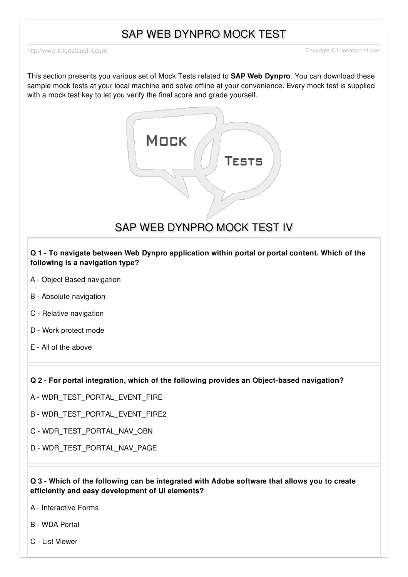## SAP WEB DYNPRO MOCK TEST

<http://www.tutorialspoint.com> Copyright © tutorialspoint.com

This section presents you various set of Mock Tests related to **SAP Web Dynpro**. You can download these sample mock tests at your local machine and solve offline at your convenience. Every mock test is supplied with a mock test key to let you verify the final score and grade yourself.



SAP WEB DYNPRO MOCK TEST IV

**Q 1 - To navigate between Web Dynpro application within portal or portal content. Which of the following is a navigation type?**

- A Object Based [navigation](javascript:void(0);)
- B Absolute [navigation](javascript:void(0);)
- C Relative [navigation](javascript:void(0);)
- D Work [protect](javascript:void(0);) mode
- E All of the [above](javascript:void(0);)

**Q 2 - For portal integration, which of the following provides an Object-based navigation?**

- A [WDR\\_TEST\\_PORTAL\\_EVENT\\_FIRE](javascript:void(0);)
- B [WDR\\_TEST\\_PORTAL\\_EVENT\\_FIRE2](javascript:void(0);)
- C [WDR\\_TEST\\_PORTAL\\_NAV\\_OBN](javascript:void(0);)
- D [WDR\\_TEST\\_PORTAL\\_NAV\\_PAGE](javascript:void(0);)

#### **Q 3 - Which of the following can be integrated with Adobe software that allows you to create efficiently and easy development of UI elements?**

- A [Interactive](javascript:void(0);) Forms
- B WDA [Portal](javascript:void(0);)
- C List [Viewer](javascript:void(0);)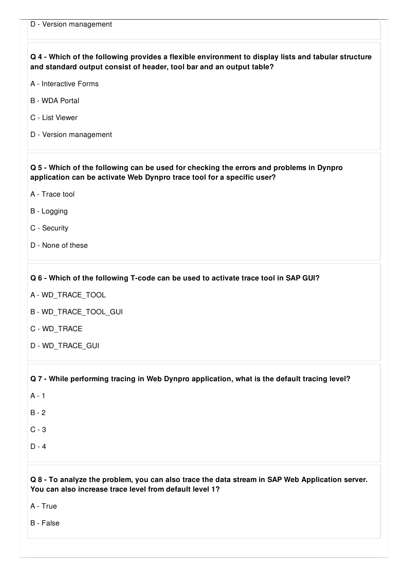| Q 4 - Which of the following provides a flexible environment to display lists and tabular structure<br>and standard output consist of header, tool bar and an output table? |
|-----------------------------------------------------------------------------------------------------------------------------------------------------------------------------|
| A - Interactive Forms                                                                                                                                                       |
| <b>B</b> - WDA Portal                                                                                                                                                       |
| C - List Viewer                                                                                                                                                             |
| D - Version management                                                                                                                                                      |
| Q 5 - Which of the following can be used for checking the errors and problems in Dynpro<br>application can be activate Web Dynpro trace tool for a specific user?           |
| A - Trace tool                                                                                                                                                              |
| B - Logging                                                                                                                                                                 |
| C - Security                                                                                                                                                                |
| D - None of these                                                                                                                                                           |
| Q 6 - Which of the following T-code can be used to activate trace tool in SAP GUI?                                                                                          |
| A - WD_TRACE_TOOL                                                                                                                                                           |
| B - WD_TRACE_TOOL_GUI                                                                                                                                                       |
| C - WD_TRACE                                                                                                                                                                |
| D - WD_TRACE_GUI                                                                                                                                                            |
| Q 7 - While performing tracing in Web Dynpro application, what is the default tracing level?                                                                                |
| $A - 1$                                                                                                                                                                     |
| $B - 2$                                                                                                                                                                     |
| $C - 3$                                                                                                                                                                     |
| $D - 4$                                                                                                                                                                     |
| Q 8 - To analyze the problem, you can also trace the data stream in SAP Web Application server.<br>You can also increase trace level from default level 1?<br>A - True      |

B - [False](javascript:void(0);)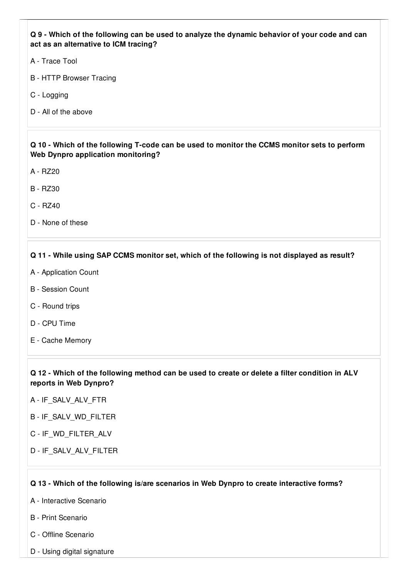#### Q 9 - Which of the following can be used to analyze the dynamic behavior of your code and can **act as an alternative to ICM tracing?**

- A [Trace](javascript:void(0);) Tool
- B HTTP [Browser](javascript:void(0);) Tracing
- C [Logging](javascript:void(0);)
- D All of the [above](javascript:void(0);)

#### Q 10 - Which of the following T-code can be used to monitor the CCMS monitor sets to perform **Web Dynpro application monitoring?**

- A [RZ20](javascript:void(0);)
- B [RZ30](javascript:void(0);)
- C [RZ40](javascript:void(0);)
- D None of [these](javascript:void(0);)

### **Q 11 - While using SAP CCMS monitor set, which of the following is not displayed as result?**

- A [Application](javascript:void(0);) Count
- B [Session](javascript:void(0);) Count
- C [Round](javascript:void(0);) trips
- D CPU [Time](javascript:void(0);)
- E Cache [Memory](javascript:void(0);)

Q 12 - Which of the following method can be used to create or delete a filter condition in ALV **reports in Web Dynpro?**

- A [IF\\_SALV\\_ALV\\_FTR](javascript:void(0);)
- B [IF\\_SALV\\_WD\\_FILTER](javascript:void(0);)
- C [IF\\_WD\\_FILTER\\_ALV](javascript:void(0);)
- D [IF\\_SALV\\_ALV\\_FILTER](javascript:void(0);)

#### **Q 13 - Which of the following is/are scenarios in Web Dynpro to create interactive forms?**

- A [Interactive](javascript:void(0);) Scenario
- B Print [Scenario](javascript:void(0);)
- C Offline [Scenario](javascript:void(0);)
- D Using digital [signature](javascript:void(0);)